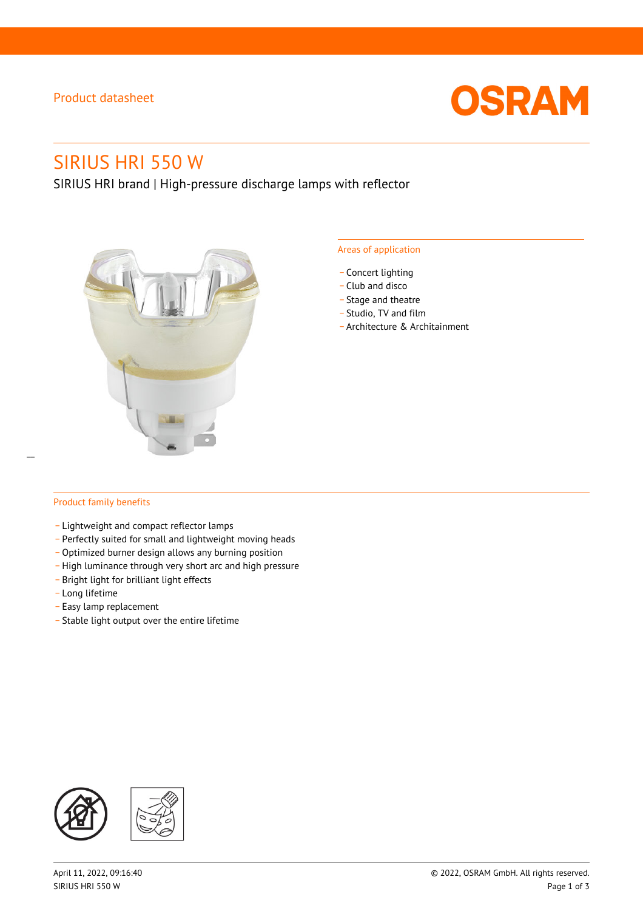## Product datasheet



# SIRIUS HRI 550 W

SIRIUS HRI brand | High-pressure discharge lamps with reflector



#### Areas of application

- Concert lighting
- \_ Club and disco
- Stage and theatre
- \_ Studio, TV and film
- \_ Architecture & Architainment

## Product family benefits

- \_ Lightweight and compact reflector lamps
- \_ Perfectly suited for small and lightweight moving heads
- Optimized burner design allows any burning position
- High luminance through very short arc and high pressure
- \_ Bright light for brilliant light effects
- \_ Long lifetime
- \_ Easy lamp replacement
- \_ Stable light output over the entire lifetime

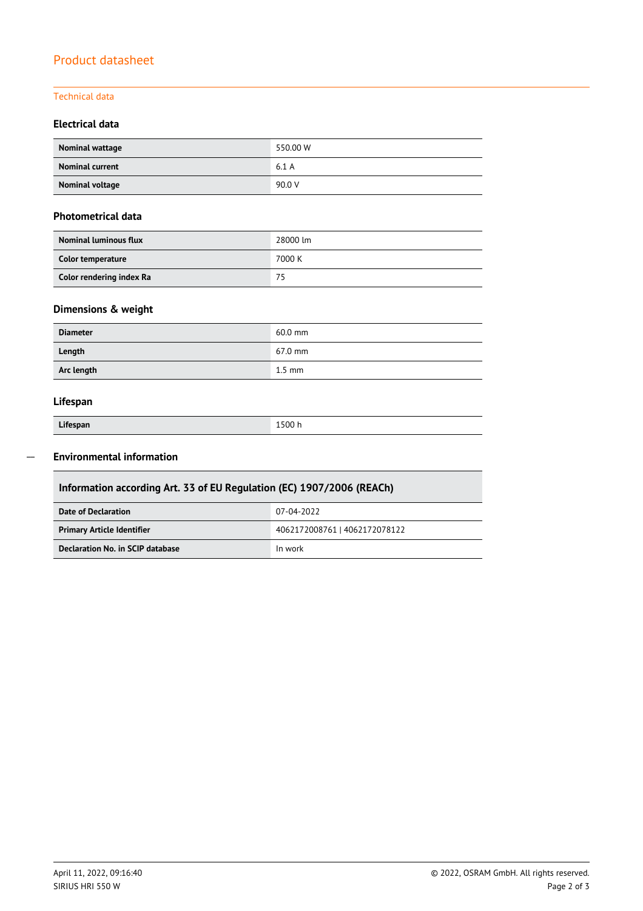## Product datasheet

## Technical data

## **Electrical data**

| Nominal wattage        | 550.00 W |
|------------------------|----------|
| <b>Nominal current</b> | 6.1A     |
| Nominal voltage        | 90.0 V   |

## **Photometrical data**

| <b>Nominal luminous flux</b> | 28000 lm |
|------------------------------|----------|
| Color temperature            | 7000 K   |
| Color rendering index Ra     | 75       |

## **Dimensions & weight**

| <b>Diameter</b> | $60.0$ mm         |
|-----------------|-------------------|
| Length          | $67.0 \text{ mm}$ |
| Arc length      | $1.5$ mm          |

## **Lifespan**

Γ

| Lifespan | 1500 h |
|----------|--------|

#### **Environmental information**  $\overline{a}$

| Information according Art. 33 of EU Regulation (EC) 1907/2006 (REACh) |                               |  |  |
|-----------------------------------------------------------------------|-------------------------------|--|--|
| Date of Declaration                                                   | 07-04-2022                    |  |  |
| <b>Primary Article Identifier</b>                                     | 4062172008761   4062172078122 |  |  |
| Declaration No. in SCIP database                                      | In work                       |  |  |